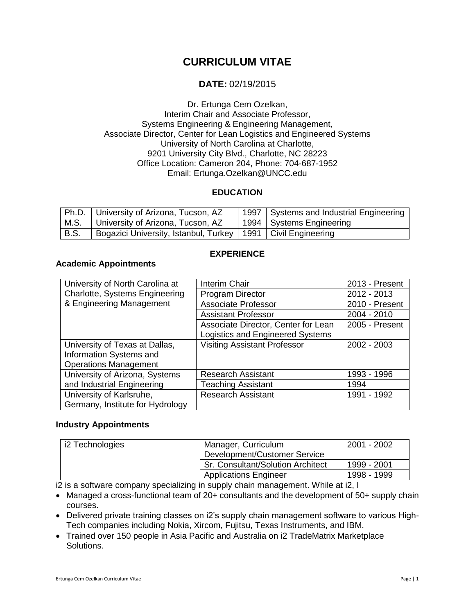# **CURRICULUM VITAE**

## **DATE:** 02/19/2015

Dr. Ertunga Cem Ozelkan, Interim Chair and Associate Professor, Systems Engineering & Engineering Management, Associate Director, Center for Lean Logistics and Engineered Systems University of North Carolina at Charlotte, 9201 University City Blvd., Charlotte, NC 28223 Office Location: Cameron 204, Phone: 704-687-1952 Email: Ertunga.Ozelkan@UNCC.edu

### **EDUCATION**

|             | Ph.D.   University of Arizona, Tucson, AZ                        | 1997 | Systems and Industrial Engineering |
|-------------|------------------------------------------------------------------|------|------------------------------------|
| M.S.        | University of Arizona, Tucson, AZ                                |      | 1994 Systems Engineering           |
| <b>B.S.</b> | Bogazici University, Istanbul, Turkey   1991   Civil Engineering |      |                                    |

### **EXPERIENCE**

#### **Academic Appointments**

| University of North Carolina at       | Interim Chair                       | 2013 - Present |
|---------------------------------------|-------------------------------------|----------------|
| <b>Charlotte, Systems Engineering</b> | <b>Program Director</b>             | 2012 - 2013    |
| & Engineering Management              | <b>Associate Professor</b>          | 2010 - Present |
|                                       | <b>Assistant Professor</b>          | $2004 - 2010$  |
|                                       | Associate Director, Center for Lean | 2005 - Present |
|                                       | Logistics and Engineered Systems    |                |
| University of Texas at Dallas,        | <b>Visiting Assistant Professor</b> | 2002 - 2003    |
| Information Systems and               |                                     |                |
| <b>Operations Management</b>          |                                     |                |
| University of Arizona, Systems        | <b>Research Assistant</b>           | 1993 - 1996    |
| and Industrial Engineering            | <b>Teaching Assistant</b>           | 1994           |
| University of Karlsruhe,              | <b>Research Assistant</b>           | 1991 - 1992    |
| Germany, Institute for Hydrology      |                                     |                |

#### **Industry Appointments**

| i2 Technologies | Manager, Curriculum               | 2001 - 2002 |
|-----------------|-----------------------------------|-------------|
|                 | Development/Customer Service      |             |
|                 | Sr. Consultant/Solution Architect | 1999 - 2001 |
|                 | <b>Applications Engineer</b>      | 1998 - 1999 |

i2 is a software company specializing in supply chain management. While at i2, I

- Managed a cross-functional team of 20+ consultants and the development of 50+ supply chain courses.
- Delivered private training classes on i2's supply chain management software to various High-Tech companies including Nokia, Xircom, Fujitsu, Texas Instruments, and IBM.
- Trained over 150 people in Asia Pacific and Australia on i2 TradeMatrix Marketplace Solutions.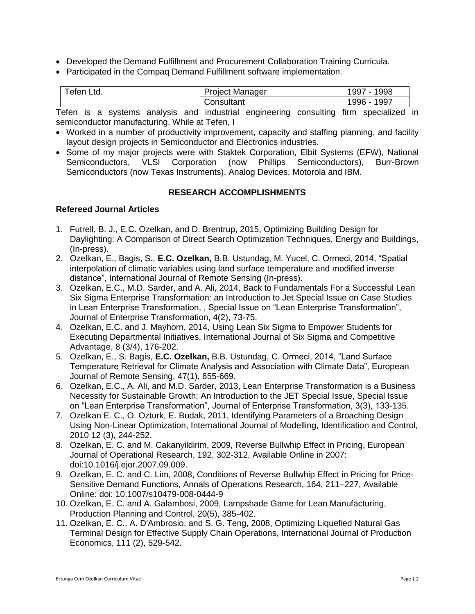- Developed the Demand Fulfillment and Procurement Collaboration Training Curricula.
- Participated in the Compaq Demand Fulfillment software implementation.

| Ltd.<br>eten | <b>Project Manager</b> | 998<br>997     |
|--------------|------------------------|----------------|
|              | Consultant             | 997<br>$996 -$ |

Tefen is a systems analysis and industrial engineering consulting firm specialized in semiconductor manufacturing. While at Tefen, I

- Worked in a number of productivity improvement, capacity and staffing planning, and facility layout design projects in Semiconductor and Electronics industries.
- Some of my major projects were with Staktek Corporation, Elbit Systems (EFW), National Semiconductors, VLSI Corporation (now Phillips Semiconductors), Burr-Brown Semiconductors (now Texas Instruments), Analog Devices, Motorola and IBM.

#### **RESEARCH ACCOMPLISHMENTS**

#### **Refereed Journal Articles**

- 1. Futrell, B. J., E.C. Ozelkan, and D. Brentrup, 2015, Optimizing Building Design for Daylighting: A Comparison of Direct Search Optimization Techniques, Energy and Buildings, (In-press).
- 2. Ozelkan, E., Bagis, S., **E.C. Ozelkan,** B.B. Ustundag, M. Yucel, C. Ormeci, 2014, "Spatial interpolation of climatic variables using land surface temperature and modified inverse distance", International Journal of Remote Sensing (In-press).
- 3. Ozelkan, E.C., M.D. Sarder, and A. Ali, 2014, Back to Fundamentals For a Successful Lean Six Sigma Enterprise Transformation: an Introduction to Jet Special Issue on Case Studies in Lean Enterprise Transformation, , Special Issue on "Lean Enterprise Transformation", Journal of Enterprise Transformation, 4(2), 73-75.
- 4. Ozelkan, E.C. and J. Mayhorn, 2014, Using Lean Six Sigma to Empower Students for Executing Departmental Initiatives, International Journal of Six Sigma and Competitive Advantage, 8 (3/4), 176-202.
- 5. Ozelkan, E., S. Bagis, **E.C. Ozelkan,** B.B. Ustundag, C. Ormeci, 2014, "Land Surface Temperature Retrieval for Climate Analysis and Association with Climate Data", European Journal of Remote Sensing, 47(1), 655-669.
- 6. Ozelkan, E.C., A. Ali, and M.D. Sarder, 2013, Lean Enterprise Transformation is a Business Necessity for Sustainable Growth: An Introduction to the JET Special Issue, Special Issue on "Lean Enterprise Transformation", Journal of Enterprise Transformation, 3(3), 133-135.
- 7. Ozelkan E. C., O. Ozturk, E. Budak, 2011, Identifying Parameters of a Broaching Design Using Non-Linear Optimization, International Journal of Modelling, Identification and Control, 2010 12 (3), 244-252.
- 8. Ozelkan, E. C. and M. Cakanyildirim, 2009, Reverse Bullwhip Effect in Pricing, European Journal of Operational Research, 192, 302-312, Available Online in 2007: doi:10.1016/j.ejor.2007.09.009.
- 9. Ozelkan, E. C. and C. Lim, 2008, Conditions of Reverse Bullwhip Effect in Pricing for Price-Sensitive Demand Functions, Annals of Operations Research, 164, 211–227, Available Online: doi: 10.1007/s10479-008-0444-9
- 10. Ozelkan, E. C. and A. Galambosi, 2009, Lampshade Game for Lean Manufacturing, Production Planning and Control, 20(5), 385-402.
- 11. Ozelkan, E. C., A. D'Ambrosio, and S. G. Teng, 2008, Optimizing Liquefied Natural Gas Terminal Design for Effective Supply Chain Operations, International Journal of Production Economics, 111 (2), 529-542.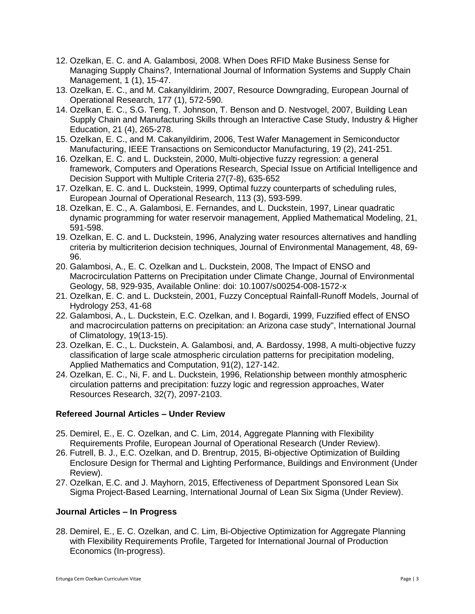- 12. Ozelkan, E. C. and A. Galambosi, 2008. When Does RFID Make Business Sense for Managing Supply Chains?, International Journal of Information Systems and Supply Chain Management, 1 (1), 15-47.
- 13. Ozelkan, E. C., and M. Cakanyildirim, 2007, Resource Downgrading, European Journal of Operational Research, 177 (1), 572-590.
- 14. Ozelkan, E. C., S.G. Teng, T. Johnson, T. Benson and D. Nestvogel, 2007, Building Lean Supply Chain and Manufacturing Skills through an Interactive Case Study, Industry & Higher Education, 21 (4), 265-278.
- 15. Ozelkan, E. C., and M. Cakanyildirim, 2006, Test Wafer Management in Semiconductor Manufacturing, IEEE Transactions on Semiconductor Manufacturing, 19 (2), 241-251.
- 16. Ozelkan, E. C. and L. Duckstein, 2000, Multi-objective fuzzy regression: a general framework, Computers and Operations Research, Special Issue on Artificial Intelligence and Decision Support with Multiple Criteria 27(7-8), 635-652
- 17. Ozelkan, E. C. and L. Duckstein, 1999, Optimal fuzzy counterparts of scheduling rules, European Journal of Operational Research, 113 (3), 593-599.
- 18. Ozelkan, E. C., A. Galambosi, E. Fernandes, and L. Duckstein, 1997, Linear quadratic dynamic programming for water reservoir management, Applied Mathematical Modeling, 21, 591-598.
- 19. Ozelkan, E. C. and L. Duckstein, 1996, Analyzing water resources alternatives and handling criteria by multicriterion decision techniques, Journal of Environmental Management, 48, 69- 96.
- 20. Galambosi, A., E. C. Ozelkan and L. Duckstein, 2008, The Impact of ENSO and Macrocirculation Patterns on Precipitation under Climate Change, Journal of Environmental Geology, 58, 929-935, Available Online: doi: 10.1007/s00254-008-1572-x
- 21. Ozelkan, E. C. and L. Duckstein, 2001, Fuzzy Conceptual Rainfall-Runoff Models, Journal of Hydrology 253, 41-68
- 22. Galambosi, A., L. Duckstein, E.C. Ozelkan, and I. Bogardi, 1999, Fuzzified effect of ENSO and macrocirculation patterns on precipitation: an Arizona case study", International Journal of Climatology, 19(13-15).
- 23. Ozelkan, E. C., L. Duckstein, A. Galambosi, and, A. Bardossy, 1998, A multi-objective fuzzy classification of large scale atmospheric circulation patterns for precipitation modeling, Applied Mathematics and Computation, 91(2), 127-142.
- 24. Ozelkan, E. C., Ni, F. and L. Duckstein, 1996, Relationship between monthly atmospheric circulation patterns and precipitation: fuzzy logic and regression approaches, Water Resources Research, 32(7), 2097-2103.

### **Refereed Journal Articles – Under Review**

- 25. Demirel, E., E. C. Ozelkan, and C. Lim, 2014, Aggregate Planning with Flexibility Requirements Profile, European Journal of Operational Research (Under Review).
- 26. Futrell, B. J., E.C. Ozelkan, and D. Brentrup, 2015, Bi-objective Optimization of Building Enclosure Design for Thermal and Lighting Performance, Buildings and Environment (Under Review).
- 27. Ozelkan, E.C. and J. Mayhorn, 2015, Effectiveness of Department Sponsored Lean Six Sigma Project-Based Learning, International Journal of Lean Six Sigma (Under Review).

### **Journal Articles – In Progress**

28. Demirel, E., E. C. Ozelkan, and C. Lim, Bi-Objective Optimization for Aggregate Planning with Flexibility Requirements Profile, Targeted for International Journal of Production Economics (In-progress).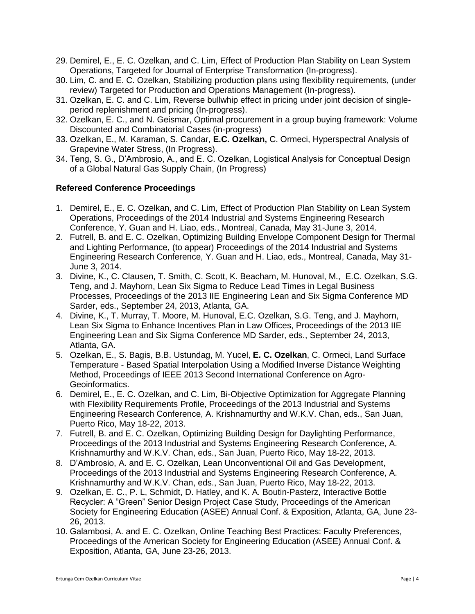- 29. Demirel, E., E. C. Ozelkan, and C. Lim, Effect of Production Plan Stability on Lean System Operations, Targeted for Journal of Enterprise Transformation (In-progress).
- 30. Lim, C. and E. C. Ozelkan, Stabilizing production plans using flexibility requirements, (under review) Targeted for Production and Operations Management (In-progress).
- 31. Ozelkan, E. C. and C. Lim, Reverse bullwhip effect in pricing under joint decision of singleperiod replenishment and pricing (In-progress).
- 32. Ozelkan, E. C., and N. Geismar, Optimal procurement in a group buying framework: Volume Discounted and Combinatorial Cases (in-progress)
- 33. Ozelkan, E., M. Karaman, S. Candar, **E.C. Ozelkan,** C. Ormeci, Hyperspectral Analysis of Grapevine Water Stress, (In Progress).
- 34. Teng, S. G., D'Ambrosio, A., and E. C. Ozelkan, Logistical Analysis for Conceptual Design of a Global Natural Gas Supply Chain, (In Progress)

### **Refereed Conference Proceedings**

- 1. Demirel, E., E. C. Ozelkan, and C. Lim, Effect of Production Plan Stability on Lean System Operations, Proceedings of the 2014 Industrial and Systems Engineering Research Conference, Y. Guan and H. Liao, eds., Montreal, Canada, May 31-June 3, 2014.
- 2. Futrell, B. and E. C. Ozelkan, Optimizing Building Envelope Component Design for Thermal and Lighting Performance, (to appear) Proceedings of the 2014 Industrial and Systems Engineering Research Conference, Y. Guan and H. Liao, eds., Montreal, Canada, May 31- June 3, 2014.
- 3. Divine, K., C. Clausen, T. Smith, C. Scott, K. Beacham, M. Hunoval, M., E.C. Ozelkan, S.G. Teng, and J. Mayhorn, Lean Six Sigma to Reduce Lead Times in Legal Business Processes, Proceedings of the 2013 IIE Engineering Lean and Six Sigma Conference MD Sarder, eds., September 24, 2013, Atlanta, GA.
- 4. Divine, K., T. Murray, T. Moore, M. Hunoval, E.C. Ozelkan, S.G. Teng, and J. Mayhorn, Lean Six Sigma to Enhance Incentives Plan in Law Offices, Proceedings of the 2013 IIE Engineering Lean and Six Sigma Conference MD Sarder, eds., September 24, 2013, Atlanta, GA.
- 5. Ozelkan, E., S. Bagis, B.B. Ustundag, M. Yucel, **E. C. Ozelkan**, C. Ormeci, Land Surface Temperature - Based Spatial Interpolation Using a Modified Inverse Distance Weighting Method, Proceedings of IEEE 2013 Second International Conference on Agro-Geoinformatics.
- 6. Demirel, E., E. C. Ozelkan, and C. Lim, Bi-Objective Optimization for Aggregate Planning with Flexibility Requirements Profile, Proceedings of the 2013 Industrial and Systems Engineering Research Conference, A. Krishnamurthy and W.K.V. Chan, eds., San Juan, Puerto Rico, May 18-22, 2013.
- 7. Futrell, B. and E. C. Ozelkan, Optimizing Building Design for Daylighting Performance, Proceedings of the 2013 Industrial and Systems Engineering Research Conference, A. Krishnamurthy and W.K.V. Chan, eds., San Juan, Puerto Rico, May 18-22, 2013.
- 8. D'Ambrosio, A. and E. C. Ozelkan, Lean Unconventional Oil and Gas Development, Proceedings of the 2013 Industrial and Systems Engineering Research Conference, A. Krishnamurthy and W.K.V. Chan, eds., San Juan, Puerto Rico, May 18-22, 2013.
- 9. Ozelkan, E. C., P. L, Schmidt, D. Hatley, and K. A. Boutin-Pasterz, Interactive Bottle Recycler: A "Green" Senior Design Project Case Study, Proceedings of the American Society for Engineering Education (ASEE) Annual Conf. & Exposition, Atlanta, GA, June 23- 26, 2013.
- 10. Galambosi, A. and E. C. Ozelkan, Online Teaching Best Practices: Faculty Preferences, Proceedings of the American Society for Engineering Education (ASEE) Annual Conf. & Exposition, Atlanta, GA, June 23-26, 2013.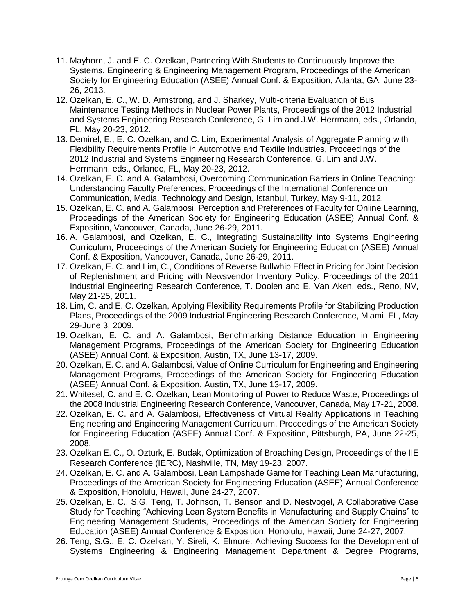- 11. Mayhorn, J. and E. C. Ozelkan, Partnering With Students to Continuously Improve the Systems, Engineering & Engineering Management Program, Proceedings of the American Society for Engineering Education (ASEE) Annual Conf. & Exposition, Atlanta, GA, June 23- 26, 2013.
- 12. Ozelkan, E. C., W. D. Armstrong, and J. Sharkey, Multi-criteria Evaluation of Bus Maintenance Testing Methods in Nuclear Power Plants, Proceedings of the 2012 Industrial and Systems Engineering Research Conference, G. Lim and J.W. Herrmann, eds., Orlando, FL, May 20-23, 2012.
- 13. Demirel, E., E. C. Ozelkan, and C. Lim, Experimental Analysis of Aggregate Planning with Flexibility Requirements Profile in Automotive and Textile Industries, Proceedings of the 2012 Industrial and Systems Engineering Research Conference, G. Lim and J.W. Herrmann, eds., Orlando, FL, May 20-23, 2012.
- 14. Ozelkan, E. C. and A. Galambosi, Overcoming Communication Barriers in Online Teaching: Understanding Faculty Preferences, Proceedings of the International Conference on Communication, Media, Technology and Design, Istanbul, Turkey, May 9-11, 2012.
- 15. Ozelkan, E. C. and A. Galambosi, Perception and Preferences of Faculty for Online Learning, Proceedings of the American Society for Engineering Education (ASEE) Annual Conf. & Exposition, Vancouver, Canada, June 26-29, 2011.
- 16. A. Galambosi, and Ozelkan, E. C., Integrating Sustainability into Systems Engineering Curriculum, Proceedings of the American Society for Engineering Education (ASEE) Annual Conf. & Exposition, Vancouver, Canada, June 26-29, 2011.
- 17. Ozelkan, E. C. and Lim, C., Conditions of Reverse Bullwhip Effect in Pricing for Joint Decision of Replenishment and Pricing with Newsvendor Inventory Policy, Proceedings of the 2011 Industrial Engineering Research Conference, T. Doolen and E. Van Aken, eds., Reno, NV, May 21-25, 2011.
- 18. Lim, C. and E. C. Ozelkan, Applying Flexibility Requirements Profile for Stabilizing Production Plans, Proceedings of the 2009 Industrial Engineering Research Conference, Miami, FL, May 29-June 3, 2009.
- 19. Ozelkan, E. C. and A. Galambosi, Benchmarking Distance Education in Engineering Management Programs, Proceedings of the American Society for Engineering Education (ASEE) Annual Conf. & Exposition, Austin, TX, June 13-17, 2009.
- 20. Ozelkan, E. C. and A. Galambosi, Value of Online Curriculum for Engineering and Engineering Management Programs, Proceedings of the American Society for Engineering Education (ASEE) Annual Conf. & Exposition, Austin, TX, June 13-17, 2009.
- 21. Whitesel, C. and E. C. Ozelkan, Lean Monitoring of Power to Reduce Waste, Proceedings of the 2008 Industrial Engineering Research Conference, Vancouver, Canada, May 17-21, 2008.
- 22. Ozelkan, E. C. and A. Galambosi, Effectiveness of Virtual Reality Applications in Teaching Engineering and Engineering Management Curriculum, Proceedings of the American Society for Engineering Education (ASEE) Annual Conf. & Exposition, Pittsburgh, PA, June 22-25, 2008.
- 23. Ozelkan E. C., O. Ozturk, E. Budak, Optimization of Broaching Design, Proceedings of the IIE Research Conference (IERC), Nashville, TN, May 19-23, 2007.
- 24. Ozelkan, E. C. and A. Galambosi, Lean Lampshade Game for Teaching Lean Manufacturing, Proceedings of the American Society for Engineering Education (ASEE) Annual Conference & Exposition, Honolulu, Hawaii, June 24-27, 2007.
- 25. Ozelkan, E. C., S.G. Teng, T. Johnson, T. Benson and D. Nestvogel, A Collaborative Case Study for Teaching "Achieving Lean System Benefits in Manufacturing and Supply Chains" to Engineering Management Students, Proceedings of the American Society for Engineering Education (ASEE) Annual Conference & Exposition, Honolulu, Hawaii, June 24-27, 2007.
- 26. Teng, S.G., E. C. Ozelkan, Y. Sireli, K. Elmore, Achieving Success for the Development of Systems Engineering & Engineering Management Department & Degree Programs,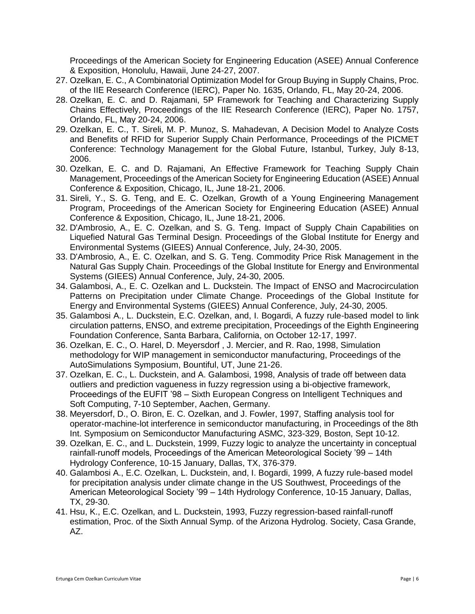Proceedings of the American Society for Engineering Education (ASEE) Annual Conference & Exposition, Honolulu, Hawaii, June 24-27, 2007.

- 27. Ozelkan, E. C., A Combinatorial Optimization Model for Group Buying in Supply Chains, Proc. of the IIE Research Conference (IERC), Paper No. 1635, Orlando, FL, May 20-24, 2006.
- 28. Ozelkan, E. C. and D. Rajamani, 5P Framework for Teaching and Characterizing Supply Chains Effectively, Proceedings of the IIE Research Conference (IERC), Paper No. 1757, Orlando, FL, May 20-24, 2006.
- 29. Ozelkan, E. C., T. Sireli, M. P. Munoz, S. Mahadevan, A Decision Model to Analyze Costs and Benefits of RFID for Superior Supply Chain Performance, Proceedings of the PICMET Conference: Technology Management for the Global Future, Istanbul, Turkey, July 8-13, 2006.
- 30. Ozelkan, E. C. and D. Rajamani, An Effective Framework for Teaching Supply Chain Management, Proceedings of the American Society for Engineering Education (ASEE) Annual Conference & Exposition, Chicago, IL, June 18-21, 2006.
- 31. Sireli, Y., S. G. Teng, and E. C. Ozelkan, Growth of a Young Engineering Management Program, Proceedings of the American Society for Engineering Education (ASEE) Annual Conference & Exposition, Chicago, IL, June 18-21, 2006.
- 32. D'Ambrosio, A., E. C. Ozelkan, and S. G. Teng. Impact of Supply Chain Capabilities on Liquefied Natural Gas Terminal Design. Proceedings of the [Global Institute for Energy and](http://www.giees.uncc.edu/)  [Environmental Systems \(GIEES\)](http://www.giees.uncc.edu/) Annual Conference, July, 24-30, 2005.
- 33. D'Ambrosio, A., E. C. Ozelkan, and S. G. Teng. Commodity Price Risk Management in the Natural Gas Supply Chain. Proceedings of the [Global Institute for Energy and Environmental](http://www.giees.uncc.edu/)  [Systems \(GIEES\)](http://www.giees.uncc.edu/) Annual Conference, July, 24-30, 2005.
- 34. Galambosi, A., E. C. Ozelkan and L. Duckstein. The Impact of ENSO and Macrocirculation Patterns on Precipitation under Climate Change. Proceedings of the [Global Institute for](http://www.giees.uncc.edu/)  [Energy and Environmental Systems \(GIEES\)](http://www.giees.uncc.edu/) Annual Conference, July, 24-30, 2005.
- 35. Galambosi A., L. Duckstein, E.C. Ozelkan, and, I. Bogardi, A fuzzy rule-based model to link circulation patterns, ENSO, and extreme precipitation, Proceedings of the Eighth Engineering Foundation Conference, Santa Barbara, California, on October 12-17, 1997.
- 36. Ozelkan, E. C., O. Harel, D. Meyersdorf , J. Mercier, and R. Rao, 1998, Simulation methodology for WIP management in semiconductor manufacturing, Proceedings of the AutoSimulations Symposium, Bountiful, UT, June 21-26.
- 37. Ozelkan, E. C., L. Duckstein, and A. Galambosi, 1998, Analysis of trade off between data outliers and prediction vagueness in fuzzy regression using a bi-objective framework, Proceedings of the EUFIT '98 – Sixth European Congress on Intelligent Techniques and Soft Computing, 7-10 September, Aachen, Germany.
- 38. Meyersdorf, D., O. Biron, E. C. Ozelkan, and J. Fowler, 1997, Staffing analysis tool for operator-machine-lot interference in semiconductor manufacturing, in Proceedings of the 8th Int. Symposium on Semiconductor Manufacturing ASMC, 323-329, Boston, Sept 10-12.
- 39. Ozelkan, E. C., and L. Duckstein, 1999, Fuzzy logic to analyze the uncertainty in conceptual rainfall-runoff models, Proceedings of the American Meteorological Society '99 – 14th Hydrology Conference, 10-15 January, Dallas, TX, 376-379.
- 40. Galambosi A., E.C. Ozelkan, L. Duckstein, and, I. Bogardi, 1999, A fuzzy rule-based model for precipitation analysis under climate change in the US Southwest, Proceedings of the American Meteorological Society '99 – 14th Hydrology Conference, 10-15 January, Dallas, TX, 29-30.
- 41. Hsu, K., E.C. Ozelkan, and L. Duckstein, 1993, Fuzzy regression-based rainfall-runoff estimation, Proc. of the Sixth Annual Symp. of the Arizona Hydrolog. Society, Casa Grande, AZ.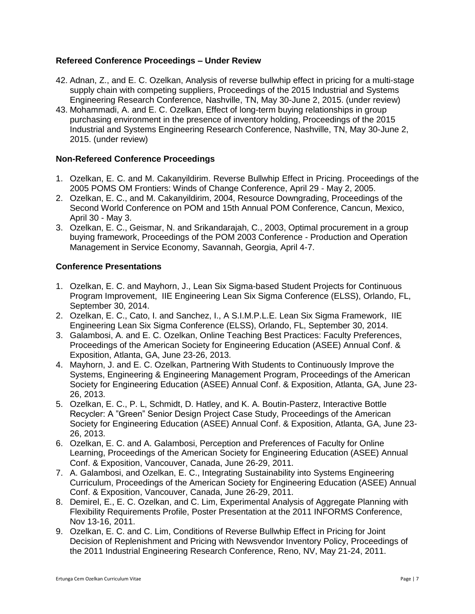### **Refereed Conference Proceedings – Under Review**

- 42. Adnan, Z., and E. C. Ozelkan, Analysis of reverse bullwhip effect in pricing for a multi-stage supply chain with competing suppliers, Proceedings of the 2015 Industrial and Systems Engineering Research Conference, Nashville, TN, May 30-June 2, 2015. (under review)
- 43. Mohammadi, A. and E. C. Ozelkan, Effect of long-term buying relationships in group purchasing environment in the presence of inventory holding, Proceedings of the 2015 Industrial and Systems Engineering Research Conference, Nashville, TN, May 30-June 2, 2015. (under review)

#### **Non-Refereed Conference Proceedings**

- 1. Ozelkan, E. C. and M. Cakanyildirim. Reverse Bullwhip Effect in Pricing. Proceedings of the 2005 POMS OM Frontiers: Winds of Change Conference, April 29 - May 2, 2005.
- 2. Ozelkan, E. C., and M. Cakanyildirim, 2004, Resource Downgrading, Proceedings of the Second World Conference on POM and 15th Annual POM Conference, Cancun, Mexico, April 30 - May 3.
- 3. Ozelkan, E. C., Geismar, N. and Srikandarajah, C., 2003, Optimal procurement in a group buying framework, Proceedings of the POM 2003 Conference - Production and Operation Management in Service Economy, Savannah, Georgia, April 4-7.

#### **Conference Presentations**

- 1. Ozelkan, E. C. and Mayhorn, J., Lean Six Sigma-based Student Projects for Continuous Program Improvement, IIE Engineering Lean Six Sigma Conference (ELSS), Orlando, FL, September 30, 2014.
- 2. Ozelkan, E. C., Cato, I. and Sanchez, I., A S.I.M.P.L.E. Lean Six Sigma Framework, IIE Engineering Lean Six Sigma Conference (ELSS), Orlando, FL, September 30, 2014.
- 3. Galambosi, A. and E. C. Ozelkan, Online Teaching Best Practices: Faculty Preferences, Proceedings of the American Society for Engineering Education (ASEE) Annual Conf. & Exposition, Atlanta, GA, June 23-26, 2013.
- 4. Mayhorn, J. and E. C. Ozelkan, Partnering With Students to Continuously Improve the Systems, Engineering & Engineering Management Program, Proceedings of the American Society for Engineering Education (ASEE) Annual Conf. & Exposition, Atlanta, GA, June 23- 26, 2013.
- 5. Ozelkan, E. C., P. L, Schmidt, D. Hatley, and K. A. Boutin-Pasterz, Interactive Bottle Recycler: A "Green" Senior Design Project Case Study, Proceedings of the American Society for Engineering Education (ASEE) Annual Conf. & Exposition, Atlanta, GA, June 23- 26, 2013.
- 6. Ozelkan, E. C. and A. Galambosi, Perception and Preferences of Faculty for Online Learning, Proceedings of the American Society for Engineering Education (ASEE) Annual Conf. & Exposition, Vancouver, Canada, June 26-29, 2011.
- 7. A. Galambosi, and Ozelkan, E. C., Integrating Sustainability into Systems Engineering Curriculum, Proceedings of the American Society for Engineering Education (ASEE) Annual Conf. & Exposition, Vancouver, Canada, June 26-29, 2011.
- 8. Demirel, E., E. C. Ozelkan, and C. Lim, Experimental Analysis of Aggregate Planning with Flexibility Requirements Profile, Poster Presentation at the 2011 INFORMS Conference, Nov 13-16, 2011.
- 9. Ozelkan, E. C. and C. Lim, Conditions of Reverse Bullwhip Effect in Pricing for Joint Decision of Replenishment and Pricing with Newsvendor Inventory Policy, Proceedings of the 2011 Industrial Engineering Research Conference, Reno, NV, May 21-24, 2011.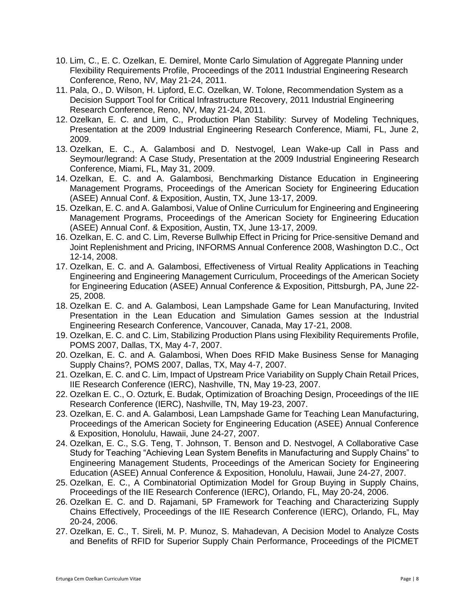- 10. Lim, C., E. C. Ozelkan, E. Demirel, Monte Carlo Simulation of Aggregate Planning under Flexibility Requirements Profile, Proceedings of the 2011 Industrial Engineering Research Conference, Reno, NV, May 21-24, 2011.
- 11. Pala, O., D. Wilson, H. Lipford, E.C. Ozelkan, W. Tolone, Recommendation System as a Decision Support Tool for Critical Infrastructure Recovery, 2011 Industrial Engineering Research Conference, Reno, NV, May 21-24, 2011.
- 12. Ozelkan, E. C. and Lim, C., Production Plan Stability: Survey of Modeling Techniques, Presentation at the 2009 Industrial Engineering Research Conference, Miami, FL, June 2, 2009.
- 13. Ozelkan, E. C., A. Galambosi and D. Nestvogel, Lean Wake-up Call in Pass and Seymour/legrand: A Case Study, Presentation at the 2009 Industrial Engineering Research Conference, Miami, FL, May 31, 2009.
- 14. Ozelkan, E. C. and A. Galambosi, Benchmarking Distance Education in Engineering Management Programs, Proceedings of the American Society for Engineering Education (ASEE) Annual Conf. & Exposition, Austin, TX, June 13-17, 2009.
- 15. Ozelkan, E. C. and A. Galambosi, Value of Online Curriculum for Engineering and Engineering Management Programs, Proceedings of the American Society for Engineering Education (ASEE) Annual Conf. & Exposition, Austin, TX, June 13-17, 2009.
- 16. Ozelkan, E. C. and C. Lim, Reverse Bullwhip Effect in Pricing for Price-sensitive Demand and Joint Replenishment and Pricing, INFORMS Annual Conference 2008, Washington D.C., Oct 12-14, 2008.
- 17. Ozelkan, E. C. and A. Galambosi, Effectiveness of Virtual Reality Applications in Teaching Engineering and Engineering Management Curriculum, Proceedings of the American Society for Engineering Education (ASEE) Annual Conference & Exposition, Pittsburgh, PA, June 22- 25, 2008.
- 18. Ozelkan E. C. and A. Galambosi, Lean Lampshade Game for Lean Manufacturing, Invited Presentation in the Lean Education and Simulation Games session at the Industrial Engineering Research Conference, Vancouver, Canada, May 17-21, 2008.
- 19. Ozelkan, E. C. and C. Lim, Stabilizing Production Plans using Flexibility Requirements Profile, POMS 2007, Dallas, TX, May 4-7, 2007.
- 20. Ozelkan, E. C. and A. Galambosi, When Does RFID Make Business Sense for Managing Supply Chains?, POMS 2007, Dallas, TX, May 4-7, 2007.
- 21. Ozelkan, E. C. and C. Lim, Impact of Upstream Price Variability on Supply Chain Retail Prices, IIE Research Conference (IERC), Nashville, TN, May 19-23, 2007.
- 22. Ozelkan E. C., O. Ozturk, E. Budak, Optimization of Broaching Design, Proceedings of the IIE Research Conference (IERC), Nashville, TN, May 19-23, 2007.
- 23. Ozelkan, E. C. and A. Galambosi, Lean Lampshade Game for Teaching Lean Manufacturing, Proceedings of the American Society for Engineering Education (ASEE) Annual Conference & Exposition, Honolulu, Hawaii, June 24-27, 2007.
- 24. Ozelkan, E. C., S.G. Teng, T. Johnson, T. Benson and D. Nestvogel, A Collaborative Case Study for Teaching "Achieving Lean System Benefits in Manufacturing and Supply Chains" to Engineering Management Students, Proceedings of the American Society for Engineering Education (ASEE) Annual Conference & Exposition, Honolulu, Hawaii, June 24-27, 2007.
- 25. Ozelkan, E. C., A Combinatorial Optimization Model for Group Buying in Supply Chains, Proceedings of the IIE Research Conference (IERC), Orlando, FL, May 20-24, 2006.
- 26. Ozelkan E. C. and D. Rajamani, 5P Framework for Teaching and Characterizing Supply Chains Effectively, Proceedings of the IIE Research Conference (IERC), Orlando, FL, May 20-24, 2006.
- 27. Ozelkan, E. C., T. Sireli, M. P. Munoz, S. Mahadevan, A Decision Model to Analyze Costs and Benefits of RFID for Superior Supply Chain Performance, Proceedings of the PICMET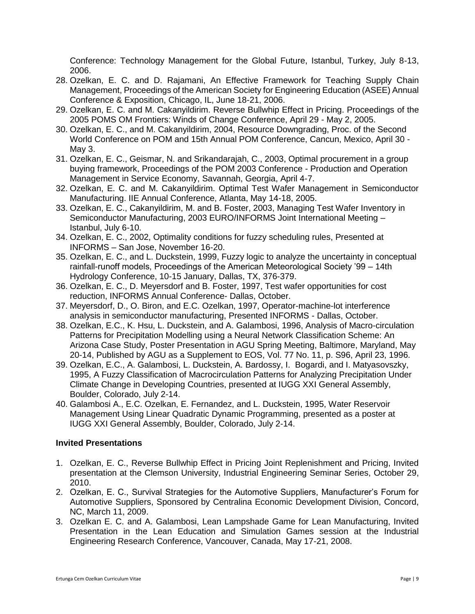Conference: Technology Management for the Global Future, Istanbul, Turkey, July 8-13, 2006.

- 28. Ozelkan, E. C. and D. Rajamani, An Effective Framework for Teaching Supply Chain Management, Proceedings of the American Society for Engineering Education (ASEE) Annual Conference & Exposition, Chicago, IL, June 18-21, 2006.
- 29. Ozelkan, E. C. and M. Cakanyildirim. Reverse Bullwhip Effect in Pricing. Proceedings of the 2005 POMS OM Frontiers: Winds of Change Conference, April 29 - May 2, 2005.
- 30. Ozelkan, E. C., and M. Cakanyildirim, 2004, Resource Downgrading, Proc. of the Second World Conference on POM and 15th Annual POM Conference, Cancun, Mexico, April 30 - May 3.
- 31. Ozelkan, E. C., Geismar, N. and Srikandarajah, C., 2003, Optimal procurement in a group buying framework, Proceedings of the POM 2003 Conference - Production and Operation Management in Service Economy, Savannah, Georgia, April 4-7.
- 32. Ozelkan, E. C. and M. Cakanyildirim. Optimal Test Wafer Management in Semiconductor Manufacturing. IIE Annual Conference, Atlanta, May 14-18, 2005.
- 33. Ozelkan, E. C., Cakanyildirim, M. and B. Foster, 2003, Managing Test Wafer Inventory in Semiconductor Manufacturing, 2003 EURO/INFORMS Joint International Meeting – Istanbul, July 6-10.
- 34. Ozelkan, E. C., 2002, Optimality conditions for fuzzy scheduling rules, Presented at INFORMS – San Jose, November 16-20.
- 35. Ozelkan, E. C., and L. Duckstein, 1999, Fuzzy logic to analyze the uncertainty in conceptual rainfall-runoff models, Proceedings of the American Meteorological Society '99 – 14th Hydrology Conference, 10-15 January, Dallas, TX, 376-379.
- 36. Ozelkan, E. C., D. Meyersdorf and B. Foster, 1997, Test wafer opportunities for cost reduction, INFORMS Annual Conference- Dallas, October.
- 37. Meyersdorf, D., O. Biron, and E.C. Ozelkan, 1997, Operator-machine-lot interference analysis in semiconductor manufacturing, Presented INFORMS - Dallas, October.
- 38. Ozelkan, E.C., K. Hsu, L. Duckstein, and A. Galambosi, 1996, Analysis of Macro-circulation Patterns for Precipitation Modelling using a Neural Network Classification Scheme: An Arizona Case Study, Poster Presentation in AGU Spring Meeting, Baltimore, Maryland, May 20-14, Published by AGU as a Supplement to EOS, Vol. 77 No. 11, p. S96, April 23, 1996.
- 39. Ozelkan, E.C., A. Galambosi, L. Duckstein, A. Bardossy, I. Bogardi, and I. Matyasovszky, 1995, A Fuzzy Classification of Macrocirculation Patterns for Analyzing Precipitation Under Climate Change in Developing Countries, presented at IUGG XXI General Assembly, Boulder, Colorado, July 2-14.
- 40. Galambosi A., E.C. Ozelkan, E. Fernandez, and L. Duckstein, 1995, Water Reservoir Management Using Linear Quadratic Dynamic Programming, presented as a poster at IUGG XXI General Assembly, Boulder, Colorado, July 2-14.

### **Invited Presentations**

- 1. Ozelkan, E. C., Reverse Bullwhip Effect in Pricing Joint Replenishment and Pricing, Invited presentation at the Clemson University, Industrial Engineering Seminar Series, October 29, 2010.
- 2. Ozelkan, E. C., Survival Strategies for the Automotive Suppliers, Manufacturer's Forum for Automotive Suppliers, Sponsored by Centralina Economic Development Division, Concord, NC, March 11, 2009.
- 3. Ozelkan E. C. and A. Galambosi, Lean Lampshade Game for Lean Manufacturing, Invited Presentation in the Lean Education and Simulation Games session at the Industrial Engineering Research Conference, Vancouver, Canada, May 17-21, 2008.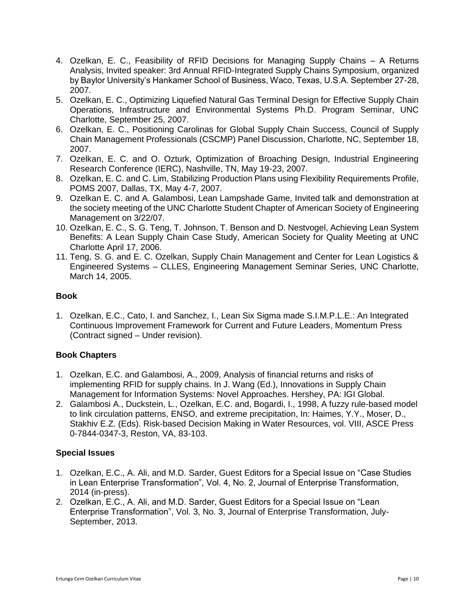- 4. Ozelkan, E. C., Feasibility of RFID Decisions for Managing Supply Chains A Returns Analysis, Invited speaker: 3rd Annual RFID-Integrated Supply Chains Symposium, organized by Baylor University's Hankamer School of Business, Waco, Texas, U.S.A. September 27-28, 2007.
- 5. Ozelkan, E. C., Optimizing Liquefied Natural Gas Terminal Design for Effective Supply Chain Operations, Infrastructure and Environmental Systems Ph.D. Program Seminar, UNC Charlotte, September 25, 2007.
- 6. Ozelkan, E. C., Positioning Carolinas for Global Supply Chain Success, Council of Supply Chain Management Professionals (CSCMP) Panel Discussion, Charlotte, NC, September 18, 2007.
- 7. Ozelkan, E. C. and O. Ozturk, Optimization of Broaching Design, Industrial Engineering Research Conference (IERC), Nashville, TN, May 19-23, 2007.
- 8. Ozelkan, E. C. and C. Lim, Stabilizing Production Plans using Flexibility Requirements Profile, POMS 2007, Dallas, TX, May 4-7, 2007.
- 9. Ozelkan E. C. and A. Galambosi, Lean Lampshade Game, Invited talk and demonstration at the society meeting of the UNC Charlotte Student Chapter of American Society of Engineering Management on 3/22/07.
- 10. Ozelkan, E. C., S. G. Teng, T. Johnson, T. Benson and D. Nestvogel, Achieving Lean System Benefits: A Lean Supply Chain Case Study, American Society for Quality Meeting at UNC Charlotte April 17, 2006.
- 11. Teng, S. G. and E. C. Ozelkan, Supply Chain Management and Center for Lean Logistics & Engineered Systems – CLLES, Engineering Management Seminar Series, UNC Charlotte, March 14, 2005.

### **Book**

1. Ozelkan, E.C., Cato, I. and Sanchez, I., Lean Six Sigma made S.I.M.P.L.E.: An Integrated Continuous Improvement Framework for Current and Future Leaders, Momentum Press (Contract signed – Under revision).

## **Book Chapters**

- 1. Ozelkan, E.C. and Galambosi, A., 2009, Analysis of financial returns and risks of implementing RFID for supply chains. In J. Wang (Ed.), Innovations in Supply Chain Management for Information Systems: Novel Approaches. Hershey, PA: IGI Global.
- 2. Galambosi A., Duckstein, L., Ozelkan, E.C. and, Bogardi, I., 1998, A fuzzy rule-based model to link circulation patterns, ENSO, and extreme precipitation, In: Haimes, Y.Y., Moser, D., Stakhiv E.Z. (Eds). Risk-based Decision Making in Water Resources, vol. VIII, ASCE Press 0-7844-0347-3, Reston, VA, 83-103.

### **Special Issues**

- 1. Ozelkan, E.C., A. Ali, and M.D. Sarder, Guest Editors for a Special Issue on "Case Studies in Lean Enterprise Transformation", Vol. 4, No. 2, Journal of Enterprise Transformation, 2014 (in-press).
- 2. Ozelkan, E.C., A. Ali, and M.D. Sarder, Guest Editors for a Special Issue on "Lean Enterprise Transformation", Vol. 3, No. 3, Journal of Enterprise Transformation, July-September, 2013.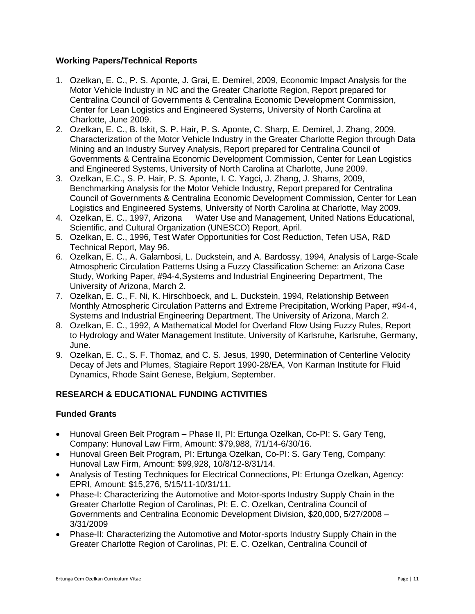### **Working Papers/Technical Reports**

- 1. Ozelkan, E. C., P. S. Aponte, J. Grai, E. Demirel, 2009, Economic Impact Analysis for the Motor Vehicle Industry in NC and the Greater Charlotte Region, Report prepared for Centralina Council of Governments & Centralina Economic Development Commission, Center for Lean Logistics and Engineered Systems, University of North Carolina at Charlotte, June 2009.
- 2. Ozelkan, E. C., B. Iskit, S. P. Hair, P. S. Aponte, C. Sharp, E. Demirel, J. Zhang, 2009, Characterization of the Motor Vehicle Industry in the Greater Charlotte Region through Data Mining and an Industry Survey Analysis, Report prepared for Centralina Council of Governments & Centralina Economic Development Commission, Center for Lean Logistics and Engineered Systems, University of North Carolina at Charlotte, June 2009.
- 3. Ozelkan, E.C., S. P. Hair, P. S. Aponte, I. C. Yagci, J. Zhang, J. Shams, 2009, Benchmarking Analysis for the Motor Vehicle Industry, Report prepared for Centralina Council of Governments & Centralina Economic Development Commission, Center for Lean Logistics and Engineered Systems, University of North Carolina at Charlotte, May 2009.
- 4. Ozelkan, E. C., 1997, Arizona Water Use and Management, United Nations Educational, Scientific, and Cultural Organization (UNESCO) Report, April.
- 5. Ozelkan, E. C., 1996, Test Wafer Opportunities for Cost Reduction, Tefen USA, R&D Technical Report, May 96.
- 6. Ozelkan, E. C., A. Galambosi, L. Duckstein, and A. Bardossy, 1994, Analysis of Large-Scale Atmospheric Circulation Patterns Using a Fuzzy Classification Scheme: an Arizona Case Study, Working Paper, #94-4,Systems and Industrial Engineering Department, The University of Arizona, March 2.
- 7. Ozelkan, E. C., F. Ni, K. Hirschboeck, and L. Duckstein, 1994, Relationship Between Monthly Atmospheric Circulation Patterns and Extreme Precipitation, Working Paper, #94-4, Systems and Industrial Engineering Department, The University of Arizona, March 2.
- 8. Ozelkan, E. C., 1992, A Mathematical Model for Overland Flow Using Fuzzy Rules, Report to Hydrology and Water Management Institute, University of Karlsruhe, Karlsruhe, Germany, June.
- 9. Ozelkan, E. C., S. F. Thomaz, and C. S. Jesus, 1990, Determination of Centerline Velocity Decay of Jets and Plumes, Stagiaire Report 1990-28/EA, Von Karman Institute for Fluid Dynamics, Rhode Saint Genese, Belgium, September.

## **RESEARCH & EDUCATIONAL FUNDING ACTIVITIES**

### **Funded Grants**

- Hunoval Green Belt Program Phase II, PI: Ertunga Ozelkan, Co-PI: S. Gary Teng, Company: Hunoval Law Firm, Amount: \$79,988, 7/1/14-6/30/16.
- Hunoval Green Belt Program, PI: Ertunga Ozelkan, Co-PI: S. Gary Teng, Company: Hunoval Law Firm, Amount: \$99,928, 10/8/12-8/31/14.
- Analysis of Testing Techniques for Electrical Connections, PI: Ertunga Ozelkan, Agency: EPRI, Amount: \$15,276, 5/15/11-10/31/11.
- Phase-I: Characterizing the Automotive and Motor-sports Industry Supply Chain in the Greater Charlotte Region of Carolinas, PI: E. C. Ozelkan, Centralina Council of Governments and Centralina Economic Development Division, \$20,000, 5/27/2008 – 3/31/2009
- Phase-II: Characterizing the Automotive and Motor-sports Industry Supply Chain in the Greater Charlotte Region of Carolinas, PI: E. C. Ozelkan, Centralina Council of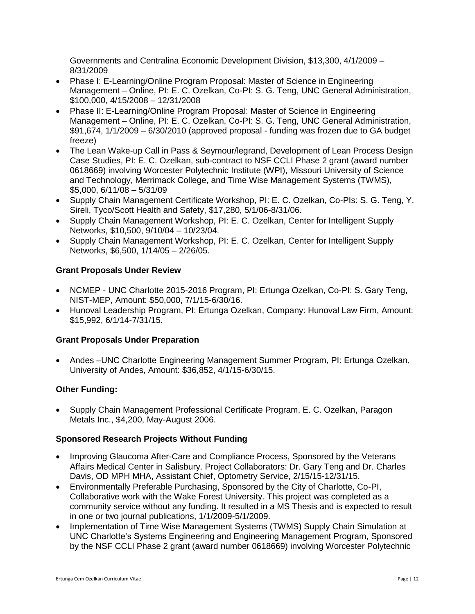Governments and Centralina Economic Development Division, \$13,300, 4/1/2009 – 8/31/2009

- Phase I: E-Learning/Online Program Proposal: Master of Science in Engineering Management – Online, PI: E. C. Ozelkan, Co-PI: S. G. Teng, UNC General Administration, \$100,000, 4/15/2008 – 12/31/2008
- Phase II: E-Learning/Online Program Proposal: Master of Science in Engineering Management – Online, PI: E. C. Ozelkan, Co-PI: S. G. Teng, UNC General Administration, \$91,674, 1/1/2009 – 6/30/2010 (approved proposal - funding was frozen due to GA budget freeze)
- The Lean Wake-up Call in Pass & Seymour/legrand, Development of Lean Process Design Case Studies, PI: E. C. Ozelkan, sub-contract to NSF CCLI Phase 2 grant (award number 0618669) involving Worcester Polytechnic Institute (WPI), Missouri University of Science and Technology, Merrimack College, and Time Wise Management Systems (TWMS), \$5,000, 6/11/08 – 5/31/09
- Supply Chain Management Certificate Workshop, PI: E. C. Ozelkan, Co-PIs: S. G. Teng, Y. Sireli, Tyco/Scott Health and Safety, \$17,280, 5/1/06-8/31/06.
- Supply Chain Management Workshop, PI: E. C. Ozelkan, Center for Intelligent Supply Networks, \$10,500, 9/10/04 – 10/23/04.
- Supply Chain Management Workshop, PI: E. C. Ozelkan, Center for Intelligent Supply Networks, \$6,500, 1/14/05 – 2/26/05.

## **Grant Proposals Under Review**

- NCMEP UNC Charlotte 2015-2016 Program, PI: Ertunga Ozelkan, Co-PI: S. Gary Teng, NIST-MEP, Amount: \$50,000, 7/1/15-6/30/16.
- Hunoval Leadership Program, PI: Ertunga Ozelkan, Company: Hunoval Law Firm, Amount: \$15,992, 6/1/14-7/31/15.

## **Grant Proposals Under Preparation**

 Andes –UNC Charlotte Engineering Management Summer Program, PI: Ertunga Ozelkan, University of Andes, Amount: \$36,852, 4/1/15-6/30/15.

## **Other Funding:**

 Supply Chain Management Professional Certificate Program, E. C. Ozelkan, Paragon Metals Inc., \$4,200, May-August 2006.

## **Sponsored Research Projects Without Funding**

- Improving Glaucoma After-Care and Compliance Process, Sponsored by the Veterans Affairs Medical Center in Salisbury. Project Collaborators: Dr. Gary Teng and Dr. Charles Davis, OD MPH MHA, Assistant Chief, Optometry Service, 2/15/15-12/31/15.
- Environmentally Preferable Purchasing, Sponsored by the City of Charlotte, Co-PI, Collaborative work with the Wake Forest University. This project was completed as a community service without any funding. It resulted in a MS Thesis and is expected to result in one or two journal publications, 1/1/2009-5/1/2009.
- Implementation of Time Wise Management Systems (TWMS) Supply Chain Simulation at UNC Charlotte's Systems Engineering and Engineering Management Program, Sponsored by the NSF CCLI Phase 2 grant (award number 0618669) involving Worcester Polytechnic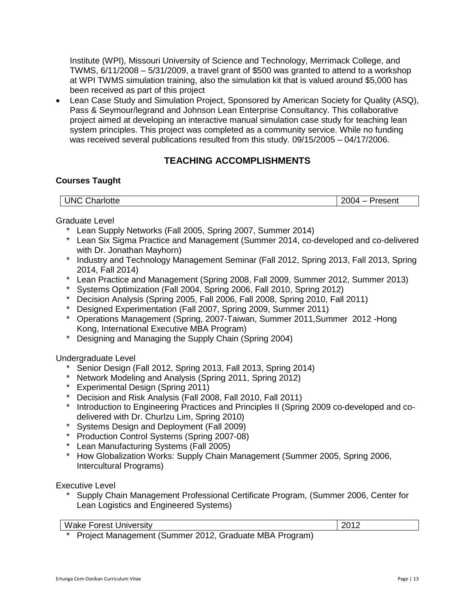Institute (WPI), Missouri University of Science and Technology, Merrimack College, and TWMS,  $6/11/2008 - 5/31/2009$ , a travel grant of \$500 was granted to attend to a workshop at WPI TWMS simulation training, also the simulation kit that is valued around \$5,000 has been received as part of this project

 Lean Case Study and Simulation Project, Sponsored by American Society for Quality (ASQ), Pass & Seymour/legrand and Johnson Lean Enterprise Consultancy. This collaborative project aimed at developing an interactive manual simulation case study for teaching lean system principles. This project was completed as a community service. While no funding was received several publications resulted from this study. 09/15/2005 – 04/17/2006.

## **TEACHING ACCOMPLISHMENTS**

### **Courses Taught**

| $\cap$ h.<br><b>UNC</b><br>Charlotte | ---<br>Present<br>. 12<br>-- |
|--------------------------------------|------------------------------|
|                                      |                              |

#### Graduate Level

- \* Lean Supply Networks (Fall 2005, Spring 2007, Summer 2014)
- \* Lean Six Sigma Practice and Management (Summer 2014, co-developed and co-delivered with Dr. Jonathan Mayhorn)
- \* Industry and Technology Management Seminar (Fall 2012, Spring 2013, Fall 2013, Spring 2014, Fall 2014)
- \* Lean Practice and Management (Spring 2008, Fall 2009, Summer 2012, Summer 2013)
- Systems Optimization (Fall 2004, Spring 2006, Fall 2010, Spring 2012)
- Decision Analysis (Spring 2005, Fall 2006, Fall 2008, Spring 2010, Fall 2011)
- Designed Experimentation (Fall 2007, Spring 2009, Summer 2011)
- \* Operations Management (Spring, 2007-Taiwan, Summer 2011,Summer 2012 -Hong Kong, International Executive MBA Program)
- \* Designing and Managing the Supply Chain (Spring 2004)

#### Undergraduate Level

- \* Senior Design (Fall 2012, Spring 2013, Fall 2013, Spring 2014)
- Network Modeling and Analysis (Spring 2011, Spring 2012)
- Experimental Design (Spring 2011)
- Decision and Risk Analysis (Fall 2008, Fall 2010, Fall 2011)
- Introduction to Engineering Practices and Principles II (Spring 2009 co-developed and codelivered with Dr. Churlzu Lim, Spring 2010)
- \* Systems Design and Deployment (Fall 2009)
- Production Control Systems (Spring 2007-08)
- Lean Manufacturing Systems (Fall 2005)
- \* How Globalization Works: Supply Chain Management (Summer 2005, Spring 2006, Intercultural Programs)

Executive Level

\* Supply Chain Management Professional Certificate Program, (Summer 2006, Center for Lean Logistics and Engineered Systems)

| <b>Wake Forest University</b> | 2012 |
|-------------------------------|------|
|-------------------------------|------|

Project Management (Summer 2012, Graduate MBA Program)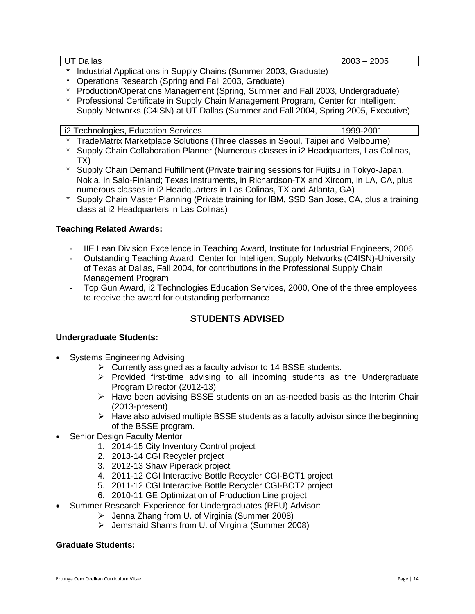UT Dallas 2003 – 2005

- Industrial Applications in Supply Chains (Summer 2003, Graduate)
- Operations Research (Spring and Fall 2003, Graduate)
- Production/Operations Management (Spring, Summer and Fall 2003, Undergraduate)
- Professional Certificate in Supply Chain Management Program, Center for Intelligent Supply Networks (C4ISN) at UT Dallas (Summer and Fall 2004, Spring 2005, Executive)

| i2 Technologies, Education Services |  |  |
|-------------------------------------|--|--|
|-------------------------------------|--|--|

1 9 9 9 - 2001

- \* TradeMatrix Marketplace Solutions (Three classes in Seoul, Taipei and Melbourne)
- \* Supply Chain Collaboration Planner (Numerous classes in i2 Headquarters, Las Colinas, TX)
- Supply Chain Demand Fulfillment (Private training sessions for Fujitsu in Tokyo-Japan, Nokia, in Salo-Finland; Texas Instruments, in Richardson-TX and Xircom, in LA, CA, plus numerous classes in i2 Headquarters in Las Colinas, TX and Atlanta, GA)
- \* Supply Chain Master Planning (Private training for IBM, SSD San Jose, CA, plus a training class at i2 Headquarters in Las Colinas)

#### **Teaching Related Awards:**

- IIE Lean Division Excellence in Teaching Award, Institute for Industrial Engineers, 2006<br>- Outstanding Teaching Award. Center for Intelligent Supply Networks (C4ISN)-University
- Outstanding Teaching Award, Center for Intelligent Supply Networks (C4ISN)-University of Texas at Dallas, Fall 2004, for contributions in the Professional Supply Chain Management Program
- Top Gun Award, i2 Technologies Education Services, 2000, One of the three employees to receive the award for outstanding performance

## **STUDENTS ADVISED**

#### **Undergraduate Students:**

- Systems Engineering Advising
	- $\triangleright$  Currently assigned as a faculty advisor to 14 BSSE students.
	- $\triangleright$  Provided first-time advising to all incoming students as the Undergraduate Program Director (2012-13)
	- $\triangleright$  Have been advising BSSE students on an as-needed basis as the Interim Chair (2013-present)
	- $\triangleright$  Have also advised multiple BSSE students as a faculty advisor since the beginning of the BSSE program.
- Senior Design Faculty Mentor
	- 1. 2014-15 City Inventory Control project
	- 2. 2013-14 CGI Recycler project
	- 3. 2012-13 Shaw Piperack project
	- 4. 2011-12 CGI Interactive Bottle Recycler CGI-BOT1 project
	- 5. 2011-12 CGI Interactive Bottle Recycler CGI-BOT2 project
	- 6. 2010-11 GE Optimization of Production Line project
- Summer Research Experience for Undergraduates (REU) Advisor:
	- Jenna Zhang from U. of Virginia (Summer 2008)
	- Jemshaid Shams from U. of Virginia (Summer 2008)

#### **Graduate Students:**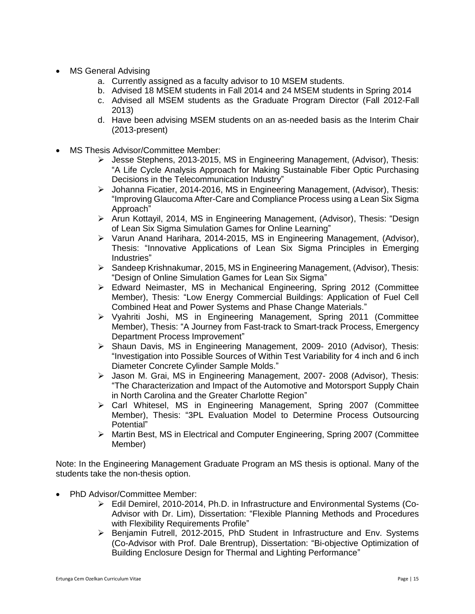- MS General Advising
	- a. Currently assigned as a faculty advisor to 10 MSEM students.
	- b. Advised 18 MSEM students in Fall 2014 and 24 MSEM students in Spring 2014
	- c. Advised all MSEM students as the Graduate Program Director (Fall 2012-Fall 2013)
	- d. Have been advising MSEM students on an as-needed basis as the Interim Chair (2013-present)
- MS Thesis Advisor/Committee Member:
	- $\triangleright$  Jesse Stephens, 2013-2015, MS in Engineering Management, (Advisor), Thesis: "A Life Cycle Analysis Approach for Making Sustainable Fiber Optic Purchasing Decisions in the Telecommunication Industry"
	- Johanna Ficatier, 2014-2016, MS in Engineering Management, (Advisor), Thesis: "Improving Glaucoma After-Care and Compliance Process using a Lean Six Sigma Approach"
	- $\triangleright$  Arun Kottayil, 2014, MS in Engineering Management, (Advisor), Thesis: "Design of Lean Six Sigma Simulation Games for Online Learning"
	- Varun Anand Harihara, 2014-2015, MS in Engineering Management, (Advisor), Thesis: "Innovative Applications of Lean Six Sigma Principles in Emerging Industries"
	- $\triangleright$  Sandeep Krishnakumar, 2015, MS in Engineering Management, (Advisor), Thesis: "Design of Online Simulation Games for Lean Six Sigma"
	- Edward Neimaster, MS in Mechanical Engineering, Spring 2012 (Committee Member), Thesis: "Low Energy Commercial Buildings: Application of Fuel Cell Combined Heat and Power Systems and Phase Change Materials."
	- $\triangleright$  Vyahriti Joshi, MS in Engineering Management, Spring 2011 (Committee Member), Thesis: "A Journey from Fast-track to Smart-track Process, Emergency Department Process Improvement"
	- Shaun Davis, MS in Engineering Management, 2009- 2010 (Advisor), Thesis: "Investigation into Possible Sources of Within Test Variability for 4 inch and 6 inch Diameter Concrete Cylinder Sample Molds."
	- $\triangleright$  Jason M. Grai, MS in Engineering Management, 2007- 2008 (Advisor), Thesis: "The Characterization and Impact of the Automotive and Motorsport Supply Chain in North Carolina and the Greater Charlotte Region"
	- Carl Whitesel, MS in Engineering Management, Spring 2007 (Committee Member), Thesis: "3PL Evaluation Model to Determine Process Outsourcing Potential"
	- Martin Best, MS in Electrical and Computer Engineering, Spring 2007 (Committee Member)

Note: In the Engineering Management Graduate Program an MS thesis is optional. Many of the students take the non-thesis option.

- PhD Advisor/Committee Member:
	- Edil Demirel, 2010-2014, Ph.D. in Infrastructure and Environmental Systems (Co-Advisor with Dr. Lim), Dissertation: "Flexible Planning Methods and Procedures with Flexibility Requirements Profile"
	- Benjamin Futrell, 2012-2015, PhD Student in Infrastructure and Env. Systems (Co-Advisor with Prof. Dale Brentrup), Dissertation: "Bi-objective Optimization of Building Enclosure Design for Thermal and Lighting Performance"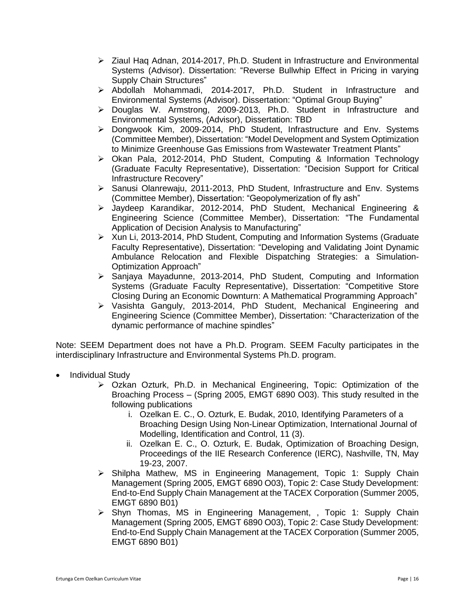- $\geq$  Ziaul Hag Adnan, 2014-2017, Ph.D. Student in Infrastructure and Environmental Systems (Advisor). Dissertation: "Reverse Bullwhip Effect in Pricing in varying Supply Chain Structures"
- > Abdollah Mohammadi, 2014-2017, Ph.D. Student in Infrastructure and Environmental Systems (Advisor). Dissertation: "Optimal Group Buying"
- Douglas W. Armstrong, 2009-2013, Ph.D. Student in Infrastructure and Environmental Systems, (Advisor), Dissertation: TBD
- $\triangleright$  Dongwook Kim, 2009-2014, PhD Student, Infrastructure and Env. Systems (Committee Member), Dissertation: "Model Development and System Optimization to Minimize Greenhouse Gas Emissions from Wastewater Treatment Plants"
- $\triangleright$  Okan Pala, 2012-2014, PhD Student, Computing & Information Technology (Graduate Faculty Representative), Dissertation: "Decision Support for Critical Infrastructure Recovery"
- ▶ Sanusi Olanrewaju, 2011-2013, PhD Student, Infrastructure and Env. Systems (Committee Member), Dissertation: "Geopolymerization of fly ash"
- Jaydeep Karandikar, 2012-2014, PhD Student, Mechanical Engineering & Engineering Science (Committee Member), Dissertation: "The Fundamental Application of Decision Analysis to Manufacturing"
- $\triangleright$  Xun Li, 2013-2014, PhD Student, Computing and Information Systems (Graduate Faculty Representative), Dissertation: "Developing and Validating Joint Dynamic Ambulance Relocation and Flexible Dispatching Strategies: a Simulation-Optimization Approach"
- $\triangleright$  Sanjaya Mayadunne, 2013-2014, PhD Student, Computing and Information Systems (Graduate Faculty Representative), Dissertation: "Competitive Store Closing During an Economic Downturn: A Mathematical Programming Approach"
- Vasishta Ganguly, 2013-2014, PhD Student, Mechanical Engineering and Engineering Science (Committee Member), Dissertation: "Characterization of the dynamic performance of machine spindles"

Note: SEEM Department does not have a Ph.D. Program. SEEM Faculty participates in the interdisciplinary Infrastructure and Environmental Systems Ph.D. program.

- Individual Study
	- Ozkan Ozturk, Ph.D. in Mechanical Engineering, Topic: Optimization of the Broaching Process – (Spring 2005, EMGT 6890 O03). This study resulted in the following publications
		- i. Ozelkan E. C., O. Ozturk, E. Budak, 2010, Identifying Parameters of a Broaching Design Using Non-Linear Optimization, International Journal of Modelling, Identification and Control, 11 (3).
		- ii. Ozelkan E. C., O. Ozturk, E. Budak, Optimization of Broaching Design, Proceedings of the IIE Research Conference (IERC), Nashville, TN, May 19-23, 2007.
	- $\triangleright$  Shilpha Mathew, MS in Engineering Management, Topic 1: Supply Chain Management (Spring 2005, EMGT 6890 O03), Topic 2: Case Study Development: End-to-End Supply Chain Management at the TACEX Corporation (Summer 2005, EMGT 6890 B01)
	- $\triangleright$  Shyn Thomas, MS in Engineering Management, , Topic 1: Supply Chain Management (Spring 2005, EMGT 6890 O03), Topic 2: Case Study Development: End-to-End Supply Chain Management at the TACEX Corporation (Summer 2005, EMGT 6890 B01)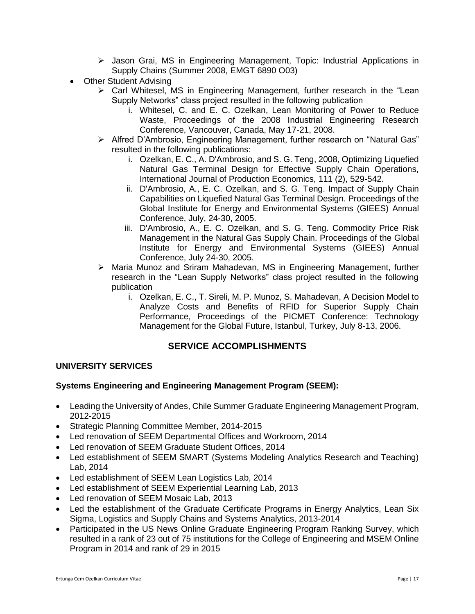- Jason Grai, MS in Engineering Management, Topic: Industrial Applications in Supply Chains (Summer 2008, EMGT 6890 O03)
- Other Student Advising
	- $\triangleright$  Carl Whitesel, MS in Engineering Management, further research in the "Lean Supply Networks" class project resulted in the following publication
		- i. Whitesel, C. and E. C. Ozelkan, Lean Monitoring of Power to Reduce Waste, Proceedings of the 2008 Industrial Engineering Research Conference, Vancouver, Canada, May 17-21, 2008.
	- Alfred D'Ambrosio, Engineering Management, further research on "Natural Gas" resulted in the following publications:
		- i. Ozelkan, E. C., A. D'Ambrosio, and S. G. Teng, 2008, Optimizing Liquefied Natural Gas Terminal Design for Effective Supply Chain Operations, International Journal of Production Economics, 111 (2), 529-542.
		- ii. D'Ambrosio, A., E. C. Ozelkan, and S. G. Teng. Impact of Supply Chain Capabilities on Liquefied Natural Gas Terminal Design. Proceedings of the [Global Institute for Energy and Environmental Systems \(GIEES\)](http://www.giees.uncc.edu/) Annual Conference, July, 24-30, 2005.
		- iii. D'Ambrosio, A., E. C. Ozelkan, and S. G. Teng. Commodity Price Risk Management in the Natural Gas Supply Chain. Proceedings of the [Global](http://www.giees.uncc.edu/)  [Institute for Energy and Environmental Systems \(GIEES\)](http://www.giees.uncc.edu/) Annual Conference, July 24-30, 2005.
	- Maria Munoz and Sriram Mahadevan, MS in Engineering Management, further research in the "Lean Supply Networks" class project resulted in the following publication
		- i. Ozelkan, E. C., T. Sireli, M. P. Munoz, S. Mahadevan, A Decision Model to Analyze Costs and Benefits of RFID for Superior Supply Chain Performance, Proceedings of the PICMET Conference: Technology Management for the Global Future, Istanbul, Turkey, July 8-13, 2006.

## **SERVICE ACCOMPLISHMENTS**

### **UNIVERSITY SERVICES**

### **Systems Engineering and Engineering Management Program (SEEM):**

- Leading the University of Andes, Chile Summer Graduate Engineering Management Program, 2012-2015
- Strategic Planning Committee Member, 2014-2015
- Led renovation of SEEM Departmental Offices and Workroom, 2014
- Led renovation of SEEM Graduate Student Offices, 2014
- Led establishment of SEEM SMART (Systems Modeling Analytics Research and Teaching) Lab, 2014
- Led establishment of SEEM Lean Logistics Lab, 2014
- Led establishment of SEEM Experiential Learning Lab, 2013
- Led renovation of SEEM Mosaic Lab, 2013
- Led the establishment of the Graduate Certificate Programs in Energy Analytics, Lean Six Sigma, Logistics and Supply Chains and Systems Analytics, 2013-2014
- Participated in the US News Online Graduate Engineering Program Ranking Survey, which resulted in a rank of 23 out of 75 institutions for the College of Engineering and MSEM Online Program in 2014 and rank of 29 in 2015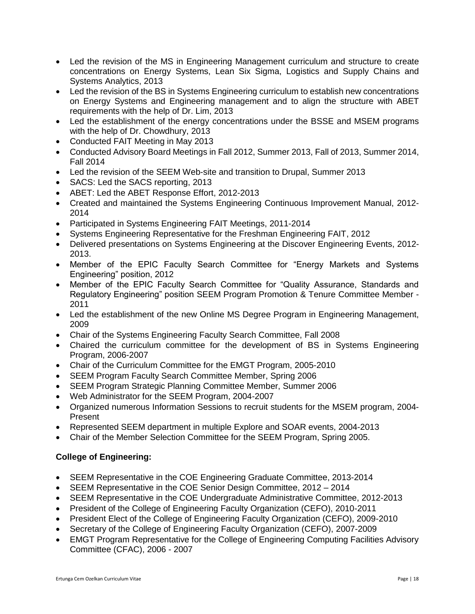- Led the revision of the MS in Engineering Management curriculum and structure to create concentrations on Energy Systems, Lean Six Sigma, Logistics and Supply Chains and Systems Analytics, 2013
- Led the revision of the BS in Systems Engineering curriculum to establish new concentrations on Energy Systems and Engineering management and to align the structure with ABET requirements with the help of Dr. Lim, 2013
- Led the establishment of the energy concentrations under the BSSE and MSEM programs with the help of Dr. Chowdhury, 2013
- Conducted FAIT Meeting in May 2013
- Conducted Advisory Board Meetings in Fall 2012, Summer 2013, Fall of 2013, Summer 2014, Fall 2014
- Led the revision of the SEEM Web-site and transition to Drupal, Summer 2013
- SACS: Led the SACS reporting, 2013
- ABET: Led the ABET Response Effort, 2012-2013
- Created and maintained the Systems Engineering Continuous Improvement Manual, 2012- 2014
- Participated in Systems Engineering FAIT Meetings, 2011-2014
- Systems Engineering Representative for the Freshman Engineering FAIT, 2012
- Delivered presentations on Systems Engineering at the Discover Engineering Events, 2012- 2013.
- Member of the EPIC Faculty Search Committee for "Energy Markets and Systems Engineering" position, 2012
- Member of the EPIC Faculty Search Committee for "Quality Assurance, Standards and Regulatory Engineering" position SEEM Program Promotion & Tenure Committee Member - 2011
- Led the establishment of the new Online MS Degree Program in Engineering Management, 2009
- Chair of the Systems Engineering Faculty Search Committee, Fall 2008
- Chaired the curriculum committee for the development of BS in Systems Engineering Program, 2006-2007
- Chair of the Curriculum Committee for the EMGT Program, 2005-2010
- SEEM Program Faculty Search Committee Member, Spring 2006
- SEEM Program Strategic Planning Committee Member, Summer 2006
- Web Administrator for the SEEM Program, 2004-2007
- Organized numerous Information Sessions to recruit students for the MSEM program, 2004- Present
- Represented SEEM department in multiple Explore and SOAR events, 2004-2013
- Chair of the Member Selection Committee for the SEEM Program, Spring 2005.

## **College of Engineering:**

- SEEM Representative in the COE Engineering Graduate Committee, 2013-2014
- SEEM Representative in the COE Senior Design Committee, 2012 2014
- SEEM Representative in the COE Undergraduate Administrative Committee, 2012-2013
- President of the College of Engineering Faculty Organization (CEFO), 2010-2011
- President Elect of the College of Engineering Faculty Organization (CEFO), 2009-2010
- Secretary of the College of Engineering Faculty Organization (CEFO), 2007-2009
- EMGT Program Representative for the College of Engineering Computing Facilities Advisory Committee (CFAC), 2006 - 2007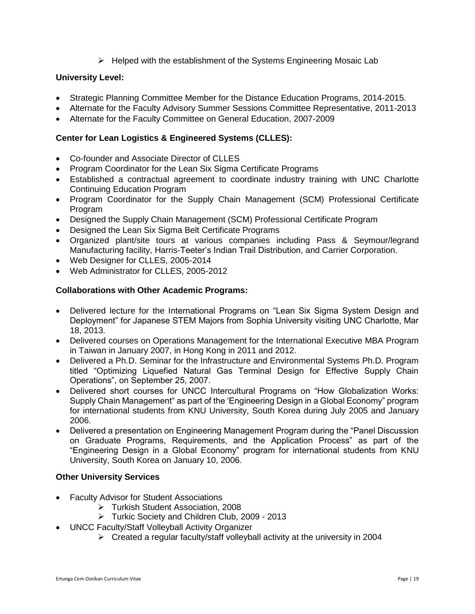$\triangleright$  Helped with the establishment of the Systems Engineering Mosaic Lab

### **University Level:**

- Strategic Planning Committee Member for the Distance Education Programs, 2014-2015.
- Alternate for the Faculty Advisory Summer Sessions Committee Representative, 2011-2013
- Alternate for the Faculty Committee on General Education, 2007-2009

### **Center for Lean Logistics & Engineered Systems (CLLES):**

- Co-founder and Associate Director of CLLES
- Program Coordinator for the Lean Six Sigma Certificate Programs
- Established a contractual agreement to coordinate industry training with UNC Charlotte Continuing Education Program
- Program Coordinator for the Supply Chain Management (SCM) Professional Certificate Program
- Designed the Supply Chain Management (SCM) Professional Certificate Program
- Designed the Lean Six Sigma Belt Certificate Programs
- Organized plant/site tours at various companies including Pass & Seymour/legrand Manufacturing facility, Harris-Teeter's Indian Trail Distribution, and Carrier Corporation.
- Web Designer for CLLES, 2005-2014
- Web Administrator for CLLES, 2005-2012

### **Collaborations with Other Academic Programs:**

- Delivered lecture for the International Programs on "Lean Six Sigma System Design and Deployment" for Japanese STEM Majors from Sophia University visiting UNC Charlotte, Mar 18, 2013.
- Delivered courses on Operations Management for the International Executive MBA Program in Taiwan in January 2007, in Hong Kong in 2011 and 2012.
- Delivered a Ph.D. Seminar for the Infrastructure and Environmental Systems Ph.D. Program titled "Optimizing Liquefied Natural Gas Terminal Design for Effective Supply Chain Operations", on September 25, 2007.
- Delivered short courses for UNCC Intercultural Programs on "How Globalization Works: Supply Chain Management" as part of the 'Engineering Design in a Global Economy" program for international students from KNU University, South Korea during July 2005 and January 2006.
- Delivered a presentation on Engineering Management Program during the "Panel Discussion on Graduate Programs, Requirements, and the Application Process" as part of the "Engineering Design in a Global Economy" program for international students from KNU University, South Korea on January 10, 2006.

## **Other University Services**

- Faculty Advisor for Student Associations
	- Turkish Student Association, 2008
	- Turkic Society and Children Club, 2009 2013
- UNCC Faculty/Staff Volleyball Activity Organizer
	- Created a regular faculty/staff volleyball activity at the university in 2004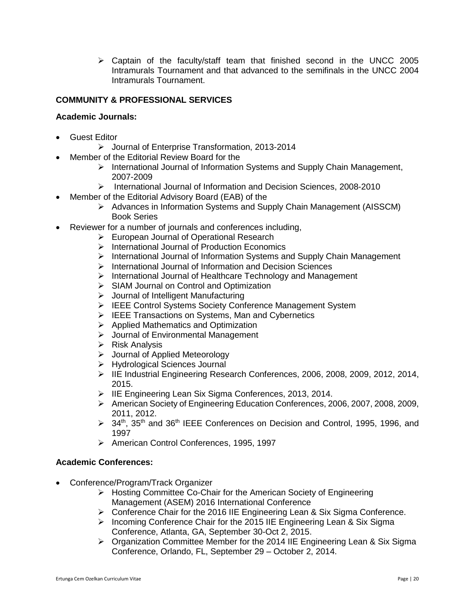$\triangleright$  Captain of the faculty/staff team that finished second in the UNCC 2005 Intramurals Tournament and that advanced to the semifinals in the UNCC 2004 Intramurals Tournament.

### **COMMUNITY & PROFESSIONAL SERVICES**

#### **Academic Journals:**

- Guest Editor
	- Journal of Enterprise Transformation, 2013-2014
- Member of the Editorial Review Board for the
	- > International Journal of Information Systems and Supply Chain Management, 2007-2009
	- International Journal of Information and Decision Sciences, 2008-2010
- Member of the Editorial Advisory Board (EAB) of the
	- Advances in Information Systems and Supply Chain Management (AISSCM) Book Series
- Reviewer for a number of journals and conferences including,
	- European Journal of Operational Research
	- $\triangleright$  International Journal of Production Economics
	- $\triangleright$  International Journal of Information Systems and Supply Chain Management
	- $\triangleright$  International Journal of Information and Decision Sciences
	- $\triangleright$  International Journal of Healthcare Technology and Management
	- **► SIAM Journal on Control and Optimization**
	- $\triangleright$  Journal of Intelligent Manufacturing
	- ▶ IEEE Control Systems Society Conference Management System
	- EEE Transactions on Systems, Man and Cybernetics
	- $\triangleright$  Applied Mathematics and Optimization
	- $\triangleright$  Journal of Environmental Management
	- $\triangleright$  Risk Analysis
	- Journal of Applied Meteorology
	- > Hydrological Sciences Journal
	- IIE Industrial Engineering Research Conferences, 2006, 2008, 2009, 2012, 2014, 2015.
	- ▶ IIE Engineering Lean Six Sigma Conferences, 2013, 2014.
	- American Society of Engineering Education Conferences, 2006, 2007, 2008, 2009, 2011, 2012.
	- $\geq$  34<sup>th</sup>, 35<sup>th</sup> and 36<sup>th</sup> IEEE Conferences on Decision and Control, 1995, 1996, and 1997
	- ▶ American Control Conferences, 1995, 1997

#### **Academic Conferences:**

- Conference/Program/Track Organizer
	- ▶ Hosting Committee Co-Chair for the American Society of Engineering Management (ASEM) 2016 International Conference
	- ▶ Conference Chair for the 2016 IIE Engineering Lean & Six Sigma Conference.
	- $\triangleright$  Incoming Conference Chair for the 2015 IIE Engineering Lean & Six Sigma Conference, Atlanta, GA, September 30-Oct 2, 2015.
	- > Organization Committee Member for the 2014 IIE Engineering Lean & Six Sigma Conference, Orlando, FL, September 29 – October 2, 2014.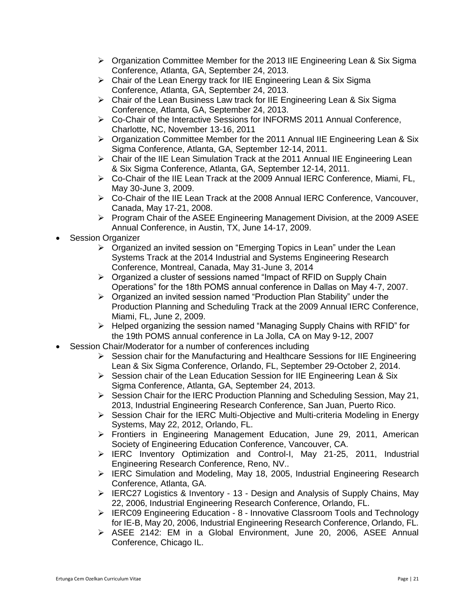- $\triangleright$  Organization Committee Member for the 2013 IIE Engineering Lean & Six Sigma Conference, Atlanta, GA, September 24, 2013.
- $\triangleright$  Chair of the Lean Energy track for IIE Engineering Lean & Six Sigma Conference, Atlanta, GA, September 24, 2013.
- Chair of the Lean Business Law track for IIE Engineering Lean & Six Sigma Conference, Atlanta, GA, September 24, 2013.
- Co-Chair of the Interactive Sessions for INFORMS 2011 Annual Conference, Charlotte, NC, November 13-16, 2011
- > Organization Committee Member for the 2011 Annual IIE Engineering Lean & Six Sigma Conference, Atlanta, GA, September 12-14, 2011.
- $\triangleright$  Chair of the IIE Lean Simulation Track at the 2011 Annual IIE Engineering Lean & Six Sigma Conference, Atlanta, GA, September 12-14, 2011.
- $\triangleright$  Co-Chair of the IIE Lean Track at the 2009 Annual IERC Conference, Miami, FL, May 30-June 3, 2009.
- Co-Chair of the IIE Lean Track at the 2008 Annual IERC Conference, Vancouver, Canada, May 17-21, 2008.
- $\triangleright$  Program Chair of the ASEE Engineering Management Division, at the 2009 ASEE Annual Conference, in Austin, TX, June 14-17, 2009.
- Session Organizer
	- $\triangleright$  Organized an invited session on "Emerging Topics in Lean" under the Lean Systems Track at the 2014 Industrial and Systems Engineering Research Conference, Montreal, Canada, May 31-June 3, 2014
	- $\triangleright$  Organized a cluster of sessions named "Impact of RFID on Supply Chain Operations" for the 18th POMS annual conference in Dallas on May 4-7, 2007.
	- $\triangleright$  Organized an invited session named "Production Plan Stability" under the Production Planning and Scheduling Track at the 2009 Annual IERC Conference, Miami, FL, June 2, 2009.
	- $\triangleright$  Helped organizing the session named "Managing Supply Chains with RFID" for the 19th POMS annual conference in La Jolla, CA on May 9-12, 2007
- Session Chair/Moderator for a number of conferences including
	- Session chair for the Manufacturing and Healthcare Sessions for IIE Engineering Lean & Six Sigma Conference, Orlando, FL, September 29-October 2, 2014.
	- $\triangleright$  Session chair of the Lean Education Session for IIE Engineering Lean & Six Sigma Conference, Atlanta, GA, September 24, 2013.
	- $\triangleright$  Session Chair for the IERC Production Planning and Scheduling Session, May 21, 2013, Industrial Engineering Research Conference, San Juan, Puerto Rico.
	- $\triangleright$  Session Chair for the IERC Multi-Objective and Multi-criteria Modeling in Energy Systems, May 22, 2012, Orlando, FL.
	- Frontiers in Engineering Management Education, June 29, 2011, American Society of Engineering Education Conference, Vancouver, CA.
	- $\triangleright$  IERC Inventory Optimization and Control-I, May 21-25, 2011, Industrial Engineering Research Conference, Reno, NV..
	- $\triangleright$  IERC Simulation and Modeling, May 18, 2005, Industrial Engineering Research Conference, Atlanta, GA.
	- $\triangleright$  IERC27 Logistics & Inventory 13 Design and Analysis of Supply Chains, May 22, 2006, Industrial Engineering Research Conference, Orlando, FL.
	- $\triangleright$  IERC09 Engineering Education 8 Innovative Classroom Tools and Technology for IE-B, May 20, 2006, Industrial Engineering Research Conference, Orlando, FL.
	- ASEE 2142: EM in a Global Environment, June 20, 2006, ASEE Annual Conference, Chicago IL.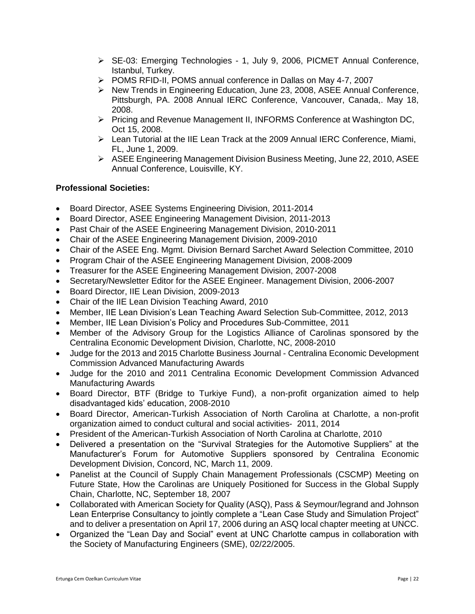- SE-03: Emerging Technologies 1, July 9, 2006, PICMET Annual Conference, Istanbul, Turkey.
- POMS RFID-II, POMS annual conference in Dallas on May 4-7, 2007
- $\triangleright$  New Trends in Engineering Education, June 23, 2008, ASEE Annual Conference, Pittsburgh, PA. 2008 Annual IERC Conference, Vancouver, Canada,. May 18, 2008.
- Pricing and Revenue Management II, INFORMS Conference at Washington DC, Oct 15, 2008.
- $\triangleright$  Lean Tutorial at the IIE Lean Track at the 2009 Annual IERC Conference, Miami, FL, June 1, 2009.
- ASEE Engineering Management Division Business Meeting, June 22, 2010, ASEE Annual Conference, Louisville, KY.

### **Professional Societies:**

- Board Director, ASEE Systems Engineering Division, 2011-2014
- Board Director, ASEE Engineering Management Division, 2011-2013
- Past Chair of the ASEE Engineering Management Division, 2010-2011
- Chair of the ASEE Engineering Management Division, 2009-2010
- Chair of the ASEE Eng. Mgmt. Division Bernard Sarchet Award Selection Committee, 2010
- Program Chair of the ASEE Engineering Management Division, 2008-2009
- Treasurer for the ASEE Engineering Management Division, 2007-2008
- Secretary/Newsletter Editor for the ASEE Engineer. Management Division, 2006-2007
- Board Director, IIE Lean Division, 2009-2013
- Chair of the IIE Lean Division Teaching Award, 2010
- Member, IIE Lean Division's Lean Teaching Award Selection Sub-Committee, 2012, 2013
- Member, IIE Lean Division's Policy and Procedures Sub-Committee, 2011
- Member of the Advisory Group for the Logistics Alliance of Carolinas sponsored by the Centralina Economic Development Division, Charlotte, NC, 2008-2010
- Judge for the 2013 and 2015 Charlotte Business Journal Centralina Economic Development Commission Advanced Manufacturing Awards
- Judge for the 2010 and 2011 Centralina Economic Development Commission Advanced Manufacturing Awards
- Board Director, BTF (Bridge to Turkiye Fund), a non-profit organization aimed to help disadvantaged kids' education, 2008-2010
- Board Director, American-Turkish Association of North Carolina at Charlotte, a non-profit organization aimed to conduct cultural and social activities- 2011, 2014
- President of the American-Turkish Association of North Carolina at Charlotte, 2010
- Delivered a presentation on the "Survival Strategies for the Automotive Suppliers" at the Manufacturer's Forum for Automotive Suppliers sponsored by Centralina Economic Development Division, Concord, NC, March 11, 2009.
- Panelist at the Council of Supply Chain Management Professionals (CSCMP) Meeting on Future State, How the Carolinas are Uniquely Positioned for Success in the Global Supply Chain, Charlotte, NC, September 18, 2007
- Collaborated with American Society for Quality (ASQ), Pass & Seymour/legrand and Johnson Lean Enterprise Consultancy to jointly complete a "Lean Case Study and Simulation Project" and to deliver a presentation on April 17, 2006 during an ASQ local chapter meeting at UNCC.
- Organized the "Lean Day and Social" event at UNC Charlotte campus in collaboration with the Society of Manufacturing Engineers (SME), 02/22/2005.